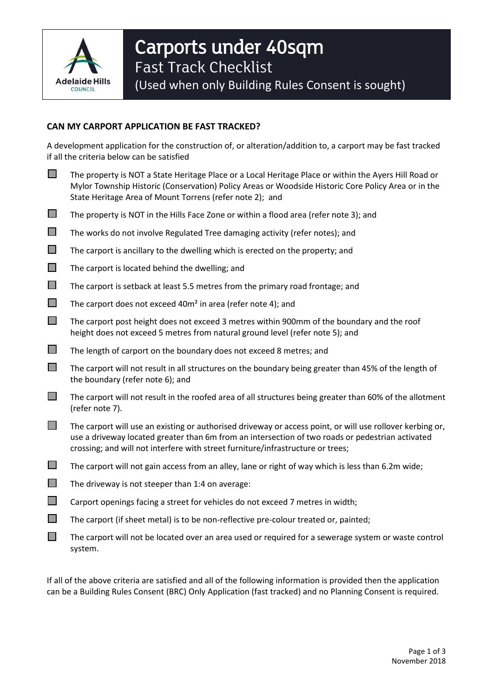

## **CAN MY CARPORT APPLICATION BE FAST TRACKED?**

A development application for the construction of, or alteration/addition to, a carport may be fast tracked if all the criteria below can be satisfied

- The property is NOT a State Heritage Place or a Local Heritage Place or within the Ayers Hill Road or Mylor Township Historic (Conservation) Policy Areas or Woodside Historic Core Policy Area or in the State Heritage Area of Mount Torrens (refer note 2); and
- $\Box$  The property is NOT in the Hills Face Zone or within a flood area (refer note 3); and
- $\Box$  The works do not involve Regulated Tree damaging activity (refer notes); and
- $\Box$  The carport is ancillary to the dwelling which is erected on the property; and
- $\Box$  The carport is located behind the dwelling; and
- $\Box$  The carport is setback at least 5.5 metres from the primary road frontage; and
- $\Box$  The carport does not exceed 40m<sup>2</sup> in area (refer note 4); and
- $\Box$  The carport post height does not exceed 3 metres within 900mm of the boundary and the roof height does not exceed 5 metres from natural ground level (refer note 5); and
- $\Box$  The length of carport on the boundary does not exceed 8 metres; and
- $\Box$  The carport will not result in all structures on the boundary being greater than 45% of the length of the boundary (refer note 6); and
- $\Box$  The carport will not result in the roofed area of all structures being greater than 60% of the allotment (refer note 7).
- $\Box$  The carport will use an existing or authorised driveway or access point, or will use rollover kerbing or, use a driveway located greater than 6m from an intersection of two roads or pedestrian activated crossing; and will not interfere with street furniture/infrastructure or trees;
- $\Box$  The carport will not gain access from an alley, lane or right of way which is less than 6.2m wide;
- $\Box$  The driveway is not steeper than 1:4 on average:
- Carport openings facing a street for vehicles do not exceed 7 metres in width;
- $\Box$  The carport (if sheet metal) is to be non-reflective pre-colour treated or, painted;
- $\Box$  The carport will not be located over an area used or required for a sewerage system or waste control system.

If all of the above criteria are satisfied and all of the following information is provided then the application can be a Building Rules Consent (BRC) Only Application (fast tracked) and no Planning Consent is required.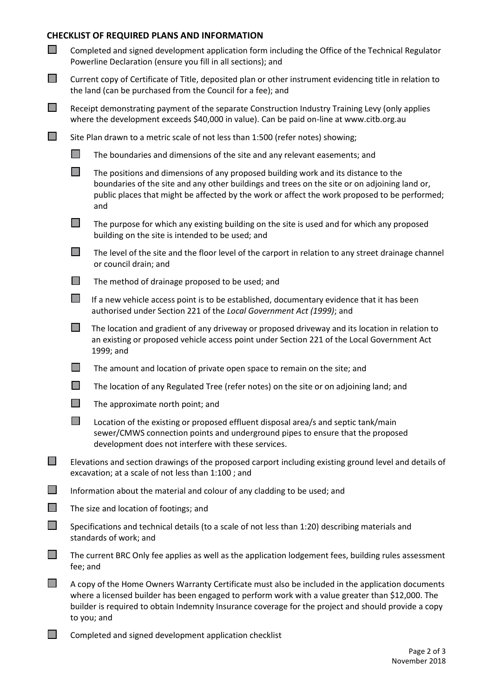## **CHECKLIST OF REQUIRED PLANS AND INFORMATION**

| $\Box$         | Completed and signed development application form including the Office of the Technical Regulator<br>Powerline Declaration (ensure you fill in all sections); and                                                                                                                                                             |                                                                                                                                                                                                                                                                                             |  |
|----------------|-------------------------------------------------------------------------------------------------------------------------------------------------------------------------------------------------------------------------------------------------------------------------------------------------------------------------------|---------------------------------------------------------------------------------------------------------------------------------------------------------------------------------------------------------------------------------------------------------------------------------------------|--|
| $\mathbb{R}^n$ | Current copy of Certificate of Title, deposited plan or other instrument evidencing title in relation to<br>the land (can be purchased from the Council for a fee); and                                                                                                                                                       |                                                                                                                                                                                                                                                                                             |  |
| $\Box$         | Receipt demonstrating payment of the separate Construction Industry Training Levy (only applies<br>where the development exceeds \$40,000 in value). Can be paid on-line at www.citb.org.au                                                                                                                                   |                                                                                                                                                                                                                                                                                             |  |
| T.             | Site Plan drawn to a metric scale of not less than 1:500 (refer notes) showing;                                                                                                                                                                                                                                               |                                                                                                                                                                                                                                                                                             |  |
|                | $\Box$                                                                                                                                                                                                                                                                                                                        | The boundaries and dimensions of the site and any relevant easements; and                                                                                                                                                                                                                   |  |
|                | $\Box$                                                                                                                                                                                                                                                                                                                        | The positions and dimensions of any proposed building work and its distance to the<br>boundaries of the site and any other buildings and trees on the site or on adjoining land or,<br>public places that might be affected by the work or affect the work proposed to be performed;<br>and |  |
|                | $\Box$                                                                                                                                                                                                                                                                                                                        | The purpose for which any existing building on the site is used and for which any proposed<br>building on the site is intended to be used; and                                                                                                                                              |  |
|                | $\mathbb{R}^n$                                                                                                                                                                                                                                                                                                                | The level of the site and the floor level of the carport in relation to any street drainage channel<br>or council drain; and                                                                                                                                                                |  |
|                | $\Box$                                                                                                                                                                                                                                                                                                                        | The method of drainage proposed to be used; and                                                                                                                                                                                                                                             |  |
|                | $\mathbb{R}^n$                                                                                                                                                                                                                                                                                                                | If a new vehicle access point is to be established, documentary evidence that it has been<br>authorised under Section 221 of the Local Government Act (1999); and                                                                                                                           |  |
|                | $\Box$                                                                                                                                                                                                                                                                                                                        | The location and gradient of any driveway or proposed driveway and its location in relation to<br>an existing or proposed vehicle access point under Section 221 of the Local Government Act<br>1999; and                                                                                   |  |
|                | $\mathcal{L}_{\mathcal{A}}$                                                                                                                                                                                                                                                                                                   | The amount and location of private open space to remain on the site; and                                                                                                                                                                                                                    |  |
|                | $\mathcal{L}_{\mathcal{A}}$                                                                                                                                                                                                                                                                                                   | The location of any Regulated Tree (refer notes) on the site or on adjoining land; and                                                                                                                                                                                                      |  |
|                | $\mathcal{L}_{\mathcal{A}}$                                                                                                                                                                                                                                                                                                   | The approximate north point; and                                                                                                                                                                                                                                                            |  |
|                | $\mathbb{R}^n$                                                                                                                                                                                                                                                                                                                | Location of the existing or proposed effluent disposal area/s and septic tank/main<br>sewer/CMWS connection points and underground pipes to ensure that the proposed<br>development does not interfere with these services.                                                                 |  |
| $\Box$         |                                                                                                                                                                                                                                                                                                                               | Elevations and section drawings of the proposed carport including existing ground level and details of<br>excavation; at a scale of not less than 1:100; and                                                                                                                                |  |
| $\Box$         |                                                                                                                                                                                                                                                                                                                               | Information about the material and colour of any cladding to be used; and                                                                                                                                                                                                                   |  |
| $\mathbb{R}^n$ |                                                                                                                                                                                                                                                                                                                               | The size and location of footings; and                                                                                                                                                                                                                                                      |  |
| $\Box$         | Specifications and technical details (to a scale of not less than 1:20) describing materials and<br>standards of work; and                                                                                                                                                                                                    |                                                                                                                                                                                                                                                                                             |  |
|                | The current BRC Only fee applies as well as the application lodgement fees, building rules assessment<br>fee; and                                                                                                                                                                                                             |                                                                                                                                                                                                                                                                                             |  |
|                | A copy of the Home Owners Warranty Certificate must also be included in the application documents<br>where a licensed builder has been engaged to perform work with a value greater than \$12,000. The<br>builder is required to obtain Indemnity Insurance coverage for the project and should provide a copy<br>to you; and |                                                                                                                                                                                                                                                                                             |  |
|                |                                                                                                                                                                                                                                                                                                                               |                                                                                                                                                                                                                                                                                             |  |

**Completed and signed development application checklist**